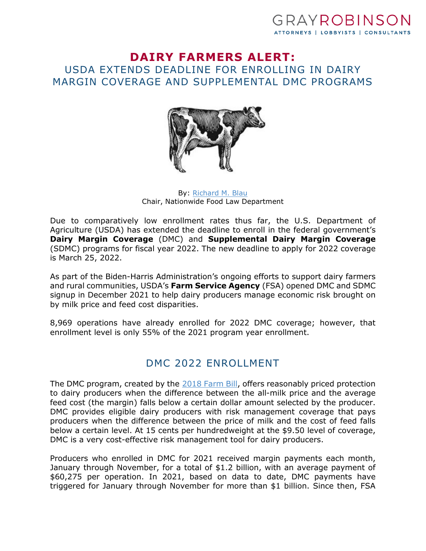### GRAYROBINSO ATTORNEYS | LOBBYISTS | CONSULTANTS

#### **DAIRY FARMERS ALERT:**  USDA EXTENDS DEADLINE FOR ENROLLING IN DAIRY MARGIN COVERAGE AND SUPPLEMENTAL DMC PROGRAMS



By: [Richard M. Blau](https://www.gray-robinson.com/attorneys-professionals/richard-m-blau) Chair, Nationwide Food Law Department

Due to comparatively low enrollment rates thus far, the U.S. Department of Agriculture (USDA) has extended the deadline to enroll in the federal government's **Dairy Margin Coverage** (DMC) and **Supplemental Dairy Margin Coverage** (SDMC) programs for fiscal year 2022. The new deadline to apply for 2022 coverage is March 25, 2022.

As part of the Biden-Harris Administration's ongoing efforts to support dairy farmers and rural communities, USDA's **Farm Service Agency** (FSA) opened DMC and SDMC signup in December 2021 to help dairy producers manage economic risk brought on by milk price and feed cost disparities.

8,969 operations have already enrolled for 2022 DMC coverage; however, that enrollment level is only 55% of the 2021 program year enrollment.

# DMC 2022 ENROLLMENT

The DMC program, created by the [2018 Farm Bill](https://www.usda.gov/farmbill), offers reasonably priced protection to dairy producers when the difference between the all-milk price and the average feed cost (the margin) falls below a certain dollar amount selected by the producer. DMC provides eligible dairy producers with risk management coverage that pays producers when the difference between the price of milk and the cost of feed falls below a certain level. At 15 cents per hundredweight at the \$9.50 level of coverage, DMC is a very cost-effective risk management tool for dairy producers.

Producers who enrolled in DMC for 2021 received margin payments each month, January through November, for a total of \$1.2 billion, with an average payment of \$60,275 per operation. In 2021, based on data to date, DMC payments have triggered for January through November for more than \$1 billion. Since then, FSA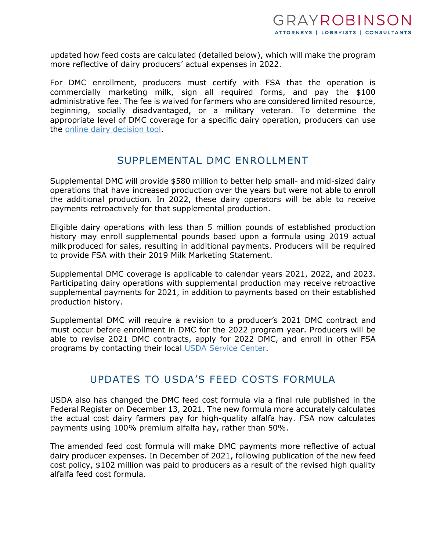updated how feed costs are calculated (detailed below), which will make the program more reflective of dairy producers' actual expenses in 2022.

For DMC enrollment, producers must certify with FSA that the operation is commercially marketing milk, sign all required forms, and pay the \$100 administrative fee. The fee is waived for farmers who are considered limited resource, beginning, socially disadvantaged, or a military veteran. To determine the appropriate level of DMC coverage for a specific dairy operation, producers can use the [online dairy decision tool](https://dmc.dairymarkets.org/#/).

#### SUPPLEMENTAL DMC ENROLLMENT

Supplemental DMC will provide \$580 million to better help small- and mid-sized dairy operations that have increased production over the years but were not able to enroll the additional production. In 2022, these dairy operators will be able to receive payments retroactively for that supplemental production.

Eligible dairy operations with less than 5 million pounds of established production history may enroll supplemental pounds based upon a formula using 2019 actual milk produced for sales, resulting in additional payments. Producers will be required to provide FSA with their 2019 Milk Marketing Statement.

Supplemental DMC coverage is applicable to calendar years 2021, 2022, and 2023. Participating dairy operations with supplemental production may receive retroactive supplemental payments for 2021, in addition to payments based on their established production history.

Supplemental DMC will require a revision to a producer's 2021 DMC contract and must occur before enrollment in DMC for the 2022 program year. Producers will be able to revise 2021 DMC contracts, apply for 2022 DMC, and enroll in other FSA programs by contacting their local [USDA Service Center](https://www.farmers.gov/working-with-us/service-center-locator).

# UPDATES TO USDA'S FEED COSTS FORMULA

USDA also has changed the DMC feed cost formula via a final rule published in the Federal Register on December 13, 2021. The new formula more accurately calculates the actual cost dairy farmers pay for high-quality alfalfa hay. FSA now calculates payments using 100% premium alfalfa hay, rather than 50%.

The amended feed cost formula will make DMC payments more reflective of actual dairy producer expenses. In December of 2021, following publication of the new feed cost policy, \$102 million was paid to producers as a result of the revised high quality alfalfa feed cost formula.